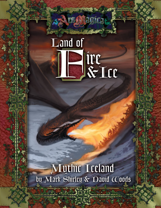# Land of Sire

经验

' C

MARICAL

## Muthic Lceland by Mark Shirley & David Cloods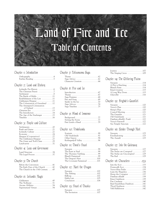## *Land of Fire and Ice Land of Fire and Ice Table of Contents Table of Contents*

#### Chapter 1: Introduction

| Orthography $\dots \dots \dots \dots \dots \dots$ . |  |  |  |  |  |  |  |  |  |
|-----------------------------------------------------|--|--|--|--|--|--|--|--|--|
|                                                     |  |  |  |  |  |  |  |  |  |

#### Chapter 2: Land and History

| The Christian Priests 7                              |
|------------------------------------------------------|
| Settlement 8                                         |
| The Battle of Hekla 11                               |
| Establishment of the Law 11                          |
| Galdramen Hreppur 11                                 |
| The Colonization of Greenland 12                     |
| The Attempted Colonization                           |
| of Vinland $\ldots \ldots \ldots \ldots \ldots$ . 13 |
| Christian Era 13                                     |
| The Interdiction 14                                  |
| The Age of the Sturlungar $\dots \dots \dots 15$     |
|                                                      |

#### Chapter 3: People and Culture

| Rank and Status 21                                  |
|-----------------------------------------------------|
| Icelandic Culture 22                                |
|                                                     |
| Hreppar (Cooperatives) $\dots \dots \dots \dots 27$ |
| The Galdramen Hreppur 27                            |
| The Giant and Troll Clans $\dots \dots \dots 29$    |
|                                                     |

#### Chapter 4: Law and Governance

| Legal Structure 34                                        |  |  |  |  |  |  |  |  |
|-----------------------------------------------------------|--|--|--|--|--|--|--|--|
| The Legal Process $\ldots \ldots \ldots \ldots \ldots$ 37 |  |  |  |  |  |  |  |  |

#### Chapter 5: The Church

| Before the Conversion 41                   |  |
|--------------------------------------------|--|
| The Early Days of the Church $\dots$ 42    |  |
| The Church in the 13th Century $\dots$ .43 |  |

#### Chapter 6: Icelandic Magic

| Galdramen 45                                               |
|------------------------------------------------------------|
| The Trollsynir $\dots \dots \dots \dots \dots \dots \dots$ |
| Arcane Abilities 54                                        |
| Supernatural Virtues 54                                    |

#### Chapter 7: Toframanna Saga

| Theme $\ldots \ldots \ldots \ldots \ldots \ldots \ldots \ldots 62$ |  |  |  |  |  |  |  |  |
|--------------------------------------------------------------------|--|--|--|--|--|--|--|--|
|                                                                    |  |  |  |  |  |  |  |  |
| Character Creation 64                                              |  |  |  |  |  |  |  |  |

#### Chapter 8: Fire and Ice

| Introduction $\dots\dots\dots\dots\dots\dots\dots$         |
|------------------------------------------------------------|
| Theme $\dots\dots\dots\dots\dots\dots\dots\dots\dots\dots$ |
|                                                            |
| Fire and Song $\dots \dots \dots \dots \dots \dots \dots$  |
| Spider in the Ice $\dots\dots\dots\dots\dots\dots$         |
| Saga Advoce 74                                             |
| Saga Timeline 75                                           |

#### Chapter 9: Blood of Innocence

| Setting the Scene 77 |  |  |  |  |  |  |  |  |
|----------------------|--|--|--|--|--|--|--|--|
|                      |  |  |  |  |  |  |  |  |

#### Chapter 10: Vindolanda

| Old Vindolanda 92        |  |
|--------------------------|--|
|                          |  |
| Kerlingarfjoll Valley 96 |  |

#### Chapter 11: Thord's Feast

| Synopsis $\ldots \ldots \ldots \ldots \ldots \ldots \ldots \ldots \ldots$ |
|---------------------------------------------------------------------------|
| The Feast at Stad 98                                                      |
| The Thorsnes Varthing 99                                                  |
| Blund's Farmstead 99                                                      |
| The Dragon's Nest $\dots\dots\dots\dots 100$                              |
| The Covenant Farmstead 101                                                |

#### Chapter 12: Meet the Dragon

| Synopsis $\ldots \ldots \ldots \ldots \ldots \ldots \ldots \ldots 102$ |
|------------------------------------------------------------------------|
|                                                                        |
|                                                                        |
|                                                                        |
| Conclusion $\ldots \ldots \ldots \ldots \ldots \ldots 106$             |

#### Chapter 13: Feast of Thanks

| Synopsis $\ldots \ldots \ldots \ldots \ldots \ldots \ldots 107$ |  |  |  |  |  |  |  |  |  |
|-----------------------------------------------------------------|--|--|--|--|--|--|--|--|--|
| The Invitation $\dots\dots\dots\dots\dots107$                   |  |  |  |  |  |  |  |  |  |

Journey . . . . . . . . . . . . . . . . . . . . . . .107 The Singing Caves . . . . . . . . . . . . . .109

#### Chapter 14: The Glittering Plains

| Synopsis $\ldots \ldots \ldots \ldots \ldots \ldots \ldots 114$ |  |
|-----------------------------------------------------------------|--|
| A Plot is Hatching 114                                          |  |
|                                                                 |  |
| Einar's Journey $\dots\dots\dots\dots\dots\dots$                |  |
| A Long Way Down $\dots \dots \dots \dots \dots \dots 115$       |  |
| Glasvellir 116                                                  |  |

#### Chapter 15: Brighde's Gauntlet

| Synopsis $\ldots \ldots \ldots \ldots \ldots \ldots \ldots 120$ |
|-----------------------------------------------------------------|
| Victor's Plan $\dots\dots\dots\dots\dots\dots120$               |
|                                                                 |
| Council Meeting 121                                             |
| The Gauntlet $\dots\dots\dots\dots\dots\dots$ 121               |
| Old Vindolanda 121                                              |
| Damhan-allaidh's $Tomb$ 122                                     |
| Victor's Farewell $\dots\dots\dots\dots\dots122$                |
| Sea Temple Sanctum 122                                          |

#### Chapter 16: Spider Through Mist

| Synopsis $\ldots \ldots \ldots \ldots \ldots \ldots \ldots 125$ |  |
|-----------------------------------------------------------------|--|
| Foreshadowing $\ldots \ldots \ldots \ldots \ldots 125$          |  |
| The Assault $\dots\dots\dots\dots\dots\dots125$                 |  |

#### Chapter 17: Into the Gateway

| Synopsis $\ldots \ldots \ldots \ldots \ldots \ldots 127$<br>The Stelae are Corrupted 127<br>The Stelae are Uncorrupted 129<br>The End 129 |
|-------------------------------------------------------------------------------------------------------------------------------------------|
| Chapter $18$ : Characters $\ldots \ldots \ldots$                                                                                          |
|                                                                                                                                           |
| Donneadh Scot 134                                                                                                                         |
| Victor filius Pralix 135                                                                                                                  |
| Liam the Shapeless $\dots \dots \dots \dots \dots 136$                                                                                    |
| Hetep the Corrupter 137                                                                                                                   |
| Damhan-allaidh $\ldots \ldots \ldots \ldots \ldots 138$                                                                                   |
| Einar Gamlisson 139                                                                                                                       |
| Pan Caudarax 140                                                                                                                          |
| Bard Snaefellsass Dumbson 141                                                                                                             |
| Thord Sturluson $\dots \dots \dots \dots \dots 141$                                                                                       |
| Vifil Halldorson 142                                                                                                                      |
|                                                                                                                                           |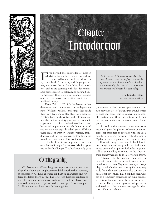

## *Chapter 1 Chapter 1 Introduction Introduction*

**Far beyond the knowledge of most in**<br>Mythic Europe lies a land of fire and ice.<br>Untouched by man until the 8th centu-Mythic Europe lies a land of fire and ice. ry, it is a land of contrasts, with huge glaciers, fiery volcanoes, barren lava fields, lush meadows, and rivers teeming with fish. Its remarkable people match its astonishing natural beauty. Although they were few, Icelanders created one of the most interesting societies in medieval Europe.

From 870 to 1262 AD the Norse settlers developed and maintained an independent state. Without warlords and kings they made their own laws and settled their own disputes. Fighting both harsh winters and volcanic disasters this unique society gave us the Icelandic sagas, an extraordinary collection of literary and historical importance, which have inspired authors for over eight hundred years. Without these sagas of warriors, giants, wizards, trolls, dragons and faeries, modern fantasy literature would have lost much of its inspiration.

This book seeks to help you create your own Icelandic saga for an **Ars Magica** game within Mythic Europe. This book not only gives

#### *Orthography*

Old Norse is a difficult language to pronounce, and we have adopted a scheme that emphasizes readability rather than accuracy or consistency. We have excluded all diacritic characters, and rendered the letter 'thorn' as 'th'. The letter 'eth' has been rendered as 'd'. The singular nominative endings (·r and ·n) have been removed or anglicized ('galdor' rather than 'galdr', for example). Finally, some words have been further anglicized.

*On the west of Norway comes the island called Iceland, with the mighty ocean washing round it: a land very squalid to dwell in, but noteworthy for marvels, both strange occurrences and objects that pass belief.*

> — The Danish History of Saxo Grammaticus

you a place in which to set up a covenant, but also provides a set of adventures around which to build your saga. From its conception to possible destruction, these adventures will help develop and maintain the momentum of your game.

As well as the story-arc adventures, story seeds will give the players welcome or unwelcome opportunities to interact with the local population and get to know Icelandic society. Mythic Iceland is presented as virgin territory for Hermetic magi. However, Iceland has its own magicians and magi will not find themselves unrivaled in power. Icelandic magicians will be as unwilling to submit to the Order as their countrymen are to the Norwegian crown.

Alternatively the material here may be used with an existing saga, set in any other tribunal location. **Ars Magica** encourages Troupe play, in which the usual storyguide may step aside for a while and someone else can run the occasional adventure. This book has been written so a temporary storyguide can run a series of adventures far away from the main saga environment. This gives a degree of independence and freedom to the temporary storyguide otherwise difficult to achieve.